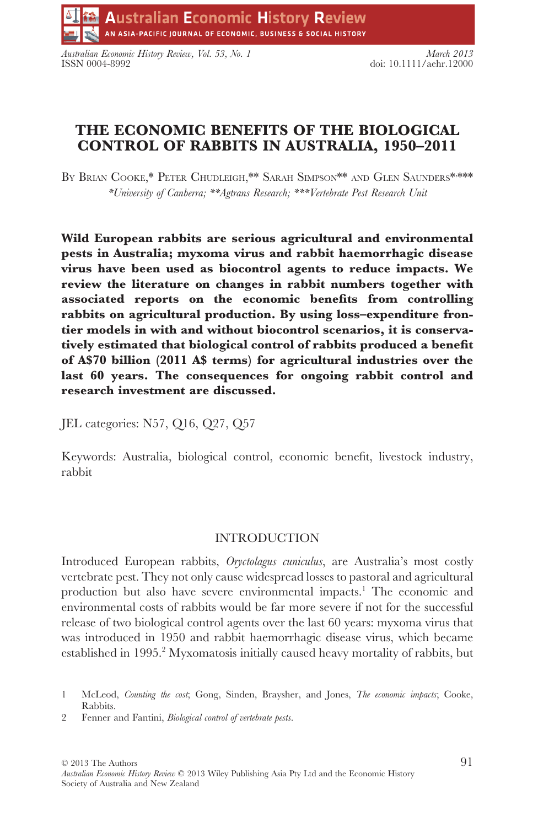**Australian Economic History Review** AN ASIA-PACIFIC JOURNAL OF ECONOMIC, BUSINESS & SOCIAL HISTORY

*Australian Economic History Review, Vol. 53, No. 1 March 2013*

bs\_bs\_banner

doi: 10.1111/aehr.12000

# **THE ECONOMIC BENEFITS OF THE BIOLOGICAL CONTROL OF RABBITS IN AUSTRALIA, 1950–2011**

BY BRIAN COOKE,\* PETER CHUDLEIGH,\*\* SARAH SIMPSON\*\* AND GLEN SAUNDERS\*\*\*\* *\*University of Canberra; \*\*Agtrans Research; \*\*\*Vertebrate Pest Research Unit*

**Wild European rabbits are serious agricultural and environmental pests in Australia; myxoma virus and rabbit haemorrhagic disease virus have been used as biocontrol agents to reduce impacts. We review the literature on changes in rabbit numbers together with associated reports on the economic benefits from controlling rabbits on agricultural production. By using loss–expenditure frontier models in with and without biocontrol scenarios, it is conservatively estimated that biological control of rabbits produced a benefit of A\$70 billion (2011 A\$ terms) for agricultural industries over the last 60 years. The consequences for ongoing rabbit control and research investment are discussed.**

JEL categories: N57, Q16, Q27, Q57

Keywords: Australia, biological control, economic benefit, livestock industry, rabbit

### INTRODUCTION

Introduced European rabbits, *Oryctolagus cuniculus*, are Australia's most costly vertebrate pest. They not only cause widespread losses to pastoral and agricultural production but also have severe environmental impacts.<sup>1</sup> The economic and environmental costs of rabbits would be far more severe if not for the successful release of two biological control agents over the last 60 years: myxoma virus that was introduced in 1950 and rabbit haemorrhagic disease virus, which became established in 1995.<sup>2</sup> Myxomatosis initially caused heavy mortality of rabbits, but

<sup>1</sup> McLeod, *Counting the cost*; Gong, Sinden, Braysher, and Jones, *The economic impacts*; Cooke, Rabbits.

<sup>2</sup> Fenner and Fantini, *Biological control of vertebrate pests*.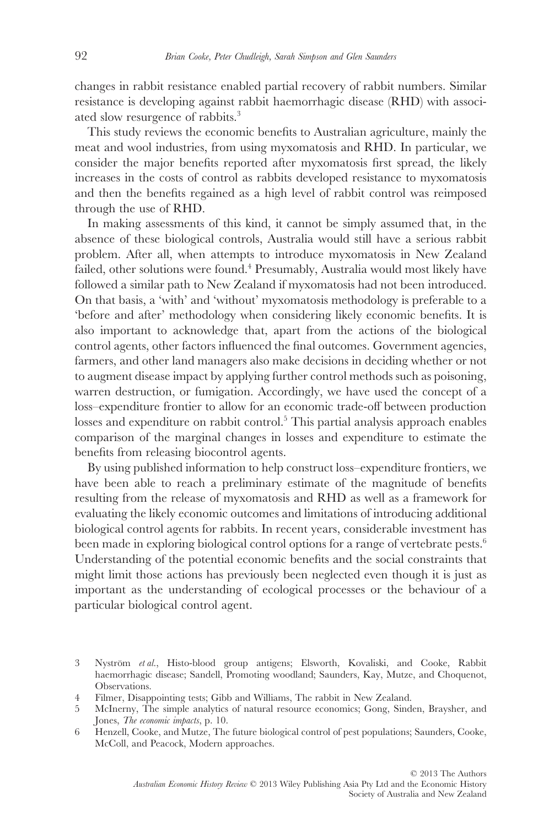changes in rabbit resistance enabled partial recovery of rabbit numbers. Similar resistance is developing against rabbit haemorrhagic disease (RHD) with associated slow resurgence of rabbits.3

This study reviews the economic benefits to Australian agriculture, mainly the meat and wool industries, from using myxomatosis and RHD. In particular, we consider the major benefits reported after myxomatosis first spread, the likely increases in the costs of control as rabbits developed resistance to myxomatosis and then the benefits regained as a high level of rabbit control was reimposed through the use of RHD.

In making assessments of this kind, it cannot be simply assumed that, in the absence of these biological controls, Australia would still have a serious rabbit problem. After all, when attempts to introduce myxomatosis in New Zealand failed, other solutions were found.<sup>4</sup> Presumably, Australia would most likely have followed a similar path to New Zealand if myxomatosis had not been introduced. On that basis, a 'with' and 'without' myxomatosis methodology is preferable to a 'before and after' methodology when considering likely economic benefits. It is also important to acknowledge that, apart from the actions of the biological control agents, other factors influenced the final outcomes. Government agencies, farmers, and other land managers also make decisions in deciding whether or not to augment disease impact by applying further control methods such as poisoning, warren destruction, or fumigation. Accordingly, we have used the concept of a loss–expenditure frontier to allow for an economic trade-off between production losses and expenditure on rabbit control.<sup>5</sup> This partial analysis approach enables comparison of the marginal changes in losses and expenditure to estimate the benefits from releasing biocontrol agents.

By using published information to help construct loss–expenditure frontiers, we have been able to reach a preliminary estimate of the magnitude of benefits resulting from the release of myxomatosis and RHD as well as a framework for evaluating the likely economic outcomes and limitations of introducing additional biological control agents for rabbits. In recent years, considerable investment has been made in exploring biological control options for a range of vertebrate pests.<sup>6</sup> Understanding of the potential economic benefits and the social constraints that might limit those actions has previously been neglected even though it is just as important as the understanding of ecological processes or the behaviour of a particular biological control agent.

4 Filmer, Disappointing tests; Gibb and Williams, The rabbit in New Zealand.

<sup>3</sup> Nyström *et al*., Histo-blood group antigens; Elsworth, Kovaliski, and Cooke, Rabbit haemorrhagic disease; Sandell, Promoting woodland; Saunders, Kay, Mutze, and Choquenot, Observations.

<sup>5</sup> McInerny, The simple analytics of natural resource economics; Gong, Sinden, Braysher, and Jones, *The economic impacts*, p. 10.

<sup>6</sup> Henzell, Cooke, and Mutze, The future biological control of pest populations; Saunders, Cooke, McColl, and Peacock, Modern approaches.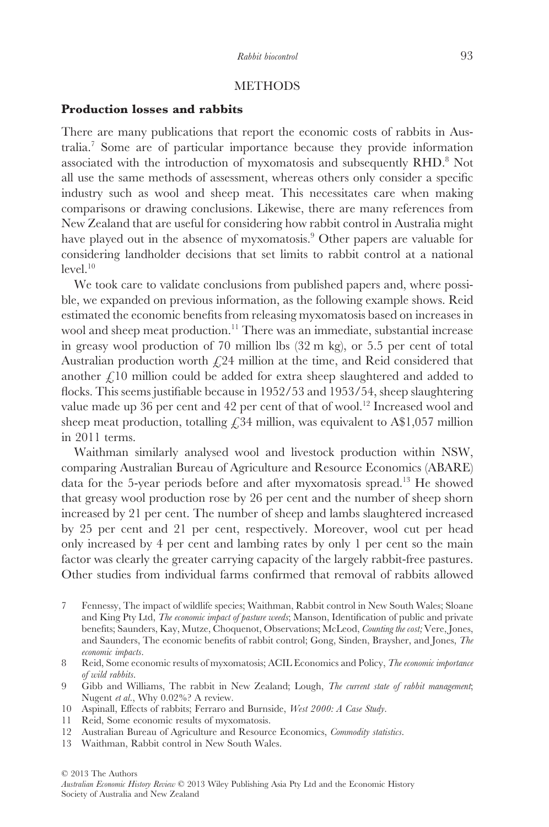#### **METHODS**

# **Production losses and rabbits**

There are many publications that report the economic costs of rabbits in Australia.7 Some are of particular importance because they provide information associated with the introduction of myxomatosis and subsequently RHD.8 Not all use the same methods of assessment, whereas others only consider a specific industry such as wool and sheep meat. This necessitates care when making comparisons or drawing conclusions. Likewise, there are many references from New Zealand that are useful for considering how rabbit control in Australia might have played out in the absence of myxomatosis.<sup>9</sup> Other papers are valuable for considering landholder decisions that set limits to rabbit control at a national  $level.<sup>10</sup>$ 

We took care to validate conclusions from published papers and, where possible, we expanded on previous information, as the following example shows. Reid estimated the economic benefits from releasing myxomatosis based on increases in wool and sheep meat production.<sup>11</sup> There was an immediate, substantial increase in greasy wool production of 70 million lbs (32 m kg), or 5.5 per cent of total Australian production worth  $\mathcal{L}24$  million at the time, and Reid considered that another  $\angle$ 10 million could be added for extra sheep slaughtered and added to flocks. This seems justifiable because in 1952/53 and 1953/54, sheep slaughtering value made up 36 per cent and 42 per cent of that of wool.<sup>12</sup> Increased wool and sheep meat production, totalling  $\text{\emph{f}}34$  million, was equivalent to A\$1,057 million in 2011 terms.

Waithman similarly analysed wool and livestock production within NSW, comparing Australian Bureau of Agriculture and Resource Economics (ABARE) data for the 5-year periods before and after myxomatosis spread.13 He showed that greasy wool production rose by 26 per cent and the number of sheep shorn increased by 21 per cent. The number of sheep and lambs slaughtered increased by 25 per cent and 21 per cent, respectively. Moreover, wool cut per head only increased by 4 per cent and lambing rates by only 1 per cent so the main factor was clearly the greater carrying capacity of the largely rabbit-free pastures. Other studies from individual farms confirmed that removal of rabbits allowed

- 7 Fennessy, The impact of wildlife species; Waithman, Rabbit control in New South Wales; Sloane and King Pty Ltd, *The economic impact of pasture weeds*; Manson, Identification of public and private benefits; Saunders, Kay, Mutze, Choquenot, Observations; McLeod, *Counting the cost;* Vere, Jones, and Saunders, The economic benefits of rabbit control; Gong, Sinden, Braysher, and Jones, *The economic impacts*.
- 8 Reid, Some economic results of myxomatosis; ACIL Economics and Policy, *The economic importance of wild rabbits*.
- 9 Gibb and Williams, The rabbit in New Zealand; Lough, *The current state of rabbit management*; Nugent *et al*., Why 0.02%? A review.
- 10 Aspinall, Effects of rabbits; Ferraro and Burnside, *West 2000: A Case Study*.
- 11 Reid, Some economic results of myxomatosis.
- 12 Australian Bureau of Agriculture and Resource Economics, *Commodity statistics*.
- 13 Waithman, Rabbit control in New South Wales.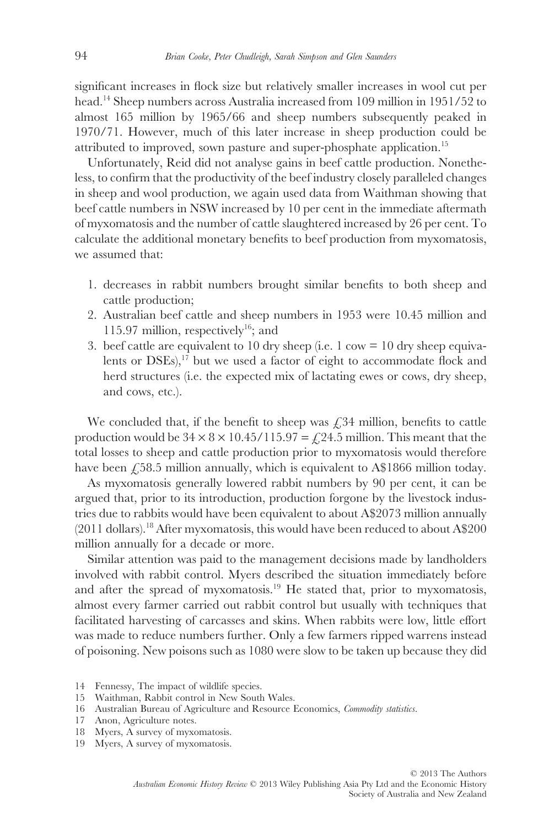significant increases in flock size but relatively smaller increases in wool cut per head.14 Sheep numbers across Australia increased from 109 million in 1951/52 to almost 165 million by 1965/66 and sheep numbers subsequently peaked in 1970/71. However, much of this later increase in sheep production could be attributed to improved, sown pasture and super-phosphate application.15

Unfortunately, Reid did not analyse gains in beef cattle production. Nonetheless, to confirm that the productivity of the beef industry closely paralleled changes in sheep and wool production, we again used data from Waithman showing that beef cattle numbers in NSW increased by 10 per cent in the immediate aftermath of myxomatosis and the number of cattle slaughtered increased by 26 per cent. To calculate the additional monetary benefits to beef production from myxomatosis, we assumed that:

- 1. decreases in rabbit numbers brought similar benefits to both sheep and cattle production;
- 2. Australian beef cattle and sheep numbers in 1953 were 10.45 million and 115.97 million, respectively<sup>16</sup>; and
- 3. beef cattle are equivalent to 10 dry sheep (i.e. 1 cow  $= 10$  dry sheep equivalents or  $DSE_s$ ,<sup>17</sup> but we used a factor of eight to accommodate flock and herd structures (i.e. the expected mix of lactating ewes or cows, dry sheep, and cows, etc.).

We concluded that, if the benefit to sheep was  $\mathcal{L}34$  million, benefits to cattle production would be  $34 \times 8 \times 10.45 / 115.97 = \text{\textsterling}24.5$  million. This meant that the total losses to sheep and cattle production prior to myxomatosis would therefore have been  $\angle 58.5$  million annually, which is equivalent to A\$1866 million today.

As myxomatosis generally lowered rabbit numbers by 90 per cent, it can be argued that, prior to its introduction, production forgone by the livestock industries due to rabbits would have been equivalent to about A\$2073 million annually (2011 dollars).18 After myxomatosis, this would have been reduced to about A\$200 million annually for a decade or more.

Similar attention was paid to the management decisions made by landholders involved with rabbit control. Myers described the situation immediately before and after the spread of myxomatosis.19 He stated that, prior to myxomatosis, almost every farmer carried out rabbit control but usually with techniques that facilitated harvesting of carcasses and skins. When rabbits were low, little effort was made to reduce numbers further. Only a few farmers ripped warrens instead of poisoning. New poisons such as 1080 were slow to be taken up because they did

<sup>14</sup> Fennessy, The impact of wildlife species.

<sup>15</sup> Waithman, Rabbit control in New South Wales.

<sup>16</sup> Australian Bureau of Agriculture and Resource Economics, *Commodity statistics*.

<sup>17</sup> Anon, Agriculture notes.

<sup>18</sup> Myers, A survey of myxomatosis.

<sup>19</sup> Myers, A survey of myxomatosis.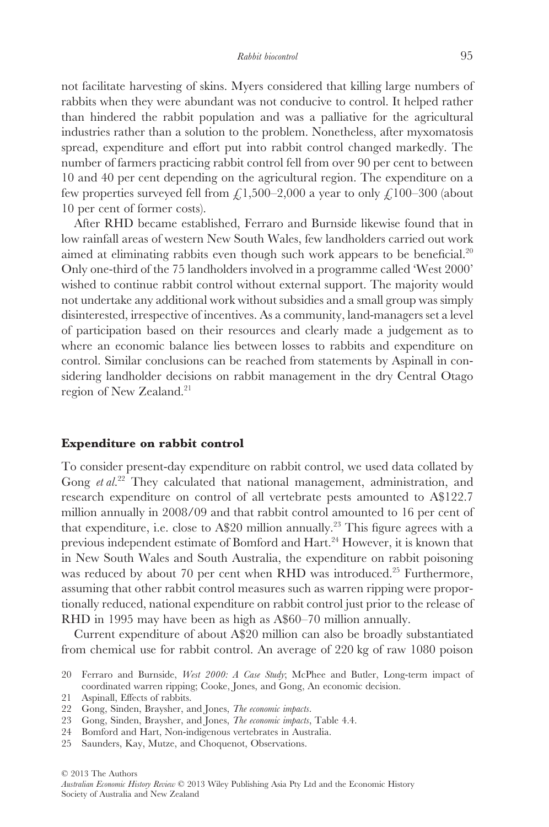not facilitate harvesting of skins. Myers considered that killing large numbers of rabbits when they were abundant was not conducive to control. It helped rather than hindered the rabbit population and was a palliative for the agricultural industries rather than a solution to the problem. Nonetheless, after myxomatosis spread, expenditure and effort put into rabbit control changed markedly. The number of farmers practicing rabbit control fell from over 90 per cent to between 10 and 40 per cent depending on the agricultural region. The expenditure on a few properties surveyed fell from  $f<sub>1</sub>1,500–2,000$  a year to only  $f<sub>1</sub>100–300$  (about 10 per cent of former costs).

After RHD became established, Ferraro and Burnside likewise found that in low rainfall areas of western New South Wales, few landholders carried out work aimed at eliminating rabbits even though such work appears to be beneficial.<sup>20</sup> Only one-third of the 75 landholders involved in a programme called 'West 2000' wished to continue rabbit control without external support. The majority would not undertake any additional work without subsidies and a small group was simply disinterested, irrespective of incentives. As a community, land-managers set a level of participation based on their resources and clearly made a judgement as to where an economic balance lies between losses to rabbits and expenditure on control. Similar conclusions can be reached from statements by Aspinall in considering landholder decisions on rabbit management in the dry Central Otago region of New Zealand.<sup>21</sup>

#### **Expenditure on rabbit control**

To consider present-day expenditure on rabbit control, we used data collated by Gong *et al.*<sup>22</sup> They calculated that national management, administration, and research expenditure on control of all vertebrate pests amounted to A\$122.7 million annually in 2008/09 and that rabbit control amounted to 16 per cent of that expenditure, i.e. close to A\$20 million annually.<sup>23</sup> This figure agrees with a previous independent estimate of Bomford and Hart.<sup>24</sup> However, it is known that in New South Wales and South Australia, the expenditure on rabbit poisoning was reduced by about 70 per cent when RHD was introduced.<sup>25</sup> Furthermore, assuming that other rabbit control measures such as warren ripping were proportionally reduced, national expenditure on rabbit control just prior to the release of RHD in 1995 may have been as high as A\$60–70 million annually.

Current expenditure of about A\$20 million can also be broadly substantiated from chemical use for rabbit control. An average of 220 kg of raw 1080 poison

<sup>20</sup> Ferraro and Burnside, *West 2000: A Case Study*; McPhee and Butler, Long-term impact of coordinated warren ripping; Cooke, Jones, and Gong, An economic decision.

<sup>21</sup> Aspinall, Effects of rabbits.

<sup>22</sup> Gong, Sinden, Braysher, and Jones, *The economic impacts*.

<sup>23</sup> Gong, Sinden, Braysher, and Jones, *The economic impacts*, Table 4.4.

<sup>24</sup> Bomford and Hart, Non-indigenous vertebrates in Australia.

<sup>25</sup> Saunders, Kay, Mutze, and Choquenot, Observations.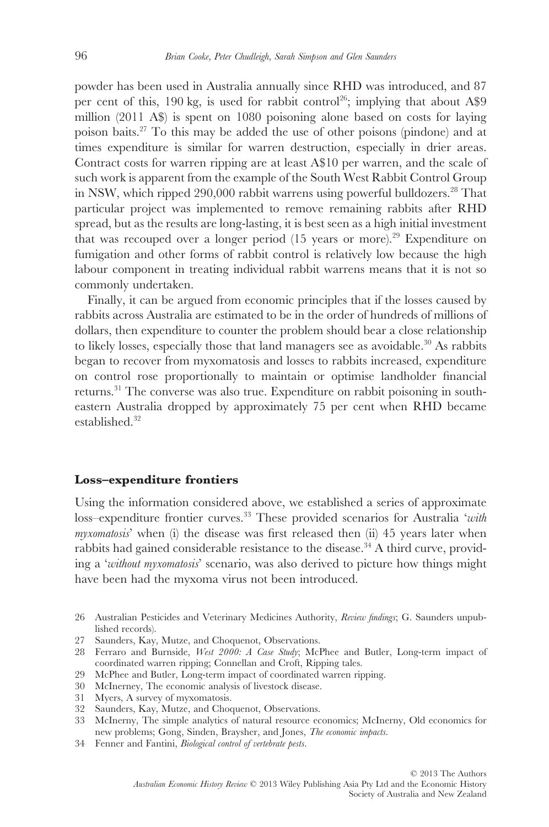powder has been used in Australia annually since RHD was introduced, and 87 per cent of this, 190 kg, is used for rabbit control<sup>26</sup>; implying that about A\$9 million (2011 A\$) is spent on 1080 poisoning alone based on costs for laying poison baits.27 To this may be added the use of other poisons (pindone) and at times expenditure is similar for warren destruction, especially in drier areas. Contract costs for warren ripping are at least A\$10 per warren, and the scale of such work is apparent from the example of the South West Rabbit Control Group in NSW, which ripped 290,000 rabbit warrens using powerful bulldozers.<sup>28</sup> That particular project was implemented to remove remaining rabbits after RHD spread, but as the results are long-lasting, it is best seen as a high initial investment that was recouped over a longer period  $(15 \text{ years or more})^{29}$  Expenditure on fumigation and other forms of rabbit control is relatively low because the high labour component in treating individual rabbit warrens means that it is not so commonly undertaken.

Finally, it can be argued from economic principles that if the losses caused by rabbits across Australia are estimated to be in the order of hundreds of millions of dollars, then expenditure to counter the problem should bear a close relationship to likely losses, especially those that land managers see as avoidable.<sup>30</sup> As rabbits began to recover from myxomatosis and losses to rabbits increased, expenditure on control rose proportionally to maintain or optimise landholder financial returns.31 The converse was also true. Expenditure on rabbit poisoning in southeastern Australia dropped by approximately 75 per cent when RHD became established.32

### **Loss–expenditure frontiers**

Using the information considered above, we established a series of approximate loss–expenditure frontier curves.33 These provided scenarios for Australia '*with myxomatosis*' when (i) the disease was first released then (ii) 45 years later when rabbits had gained considerable resistance to the disease.<sup>34</sup> A third curve, providing a '*without myxomatosis*' scenario, was also derived to picture how things might have been had the myxoma virus not been introduced.

- 27 Saunders, Kay, Mutze, and Choquenot, Observations.
- 28 Ferraro and Burnside, *West 2000: A Case Study*; McPhee and Butler, Long-term impact of coordinated warren ripping; Connellan and Croft, Ripping tales.
- 29 McPhee and Butler, Long-term impact of coordinated warren ripping.
- 30 McInerney, The economic analysis of livestock disease.
- 31 Myers, A survey of myxomatosis.
- 32 Saunders, Kay, Mutze, and Choquenot, Observations.
- 33 McInerny, The simple analytics of natural resource economics; McInerny, Old economics for new problems; Gong, Sinden, Braysher, and Jones, *The economic impacts*.
- 34 Fenner and Fantini, *Biological control of vertebrate pests*.

<sup>26</sup> Australian Pesticides and Veterinary Medicines Authority, *Review findings*; G. Saunders unpublished records).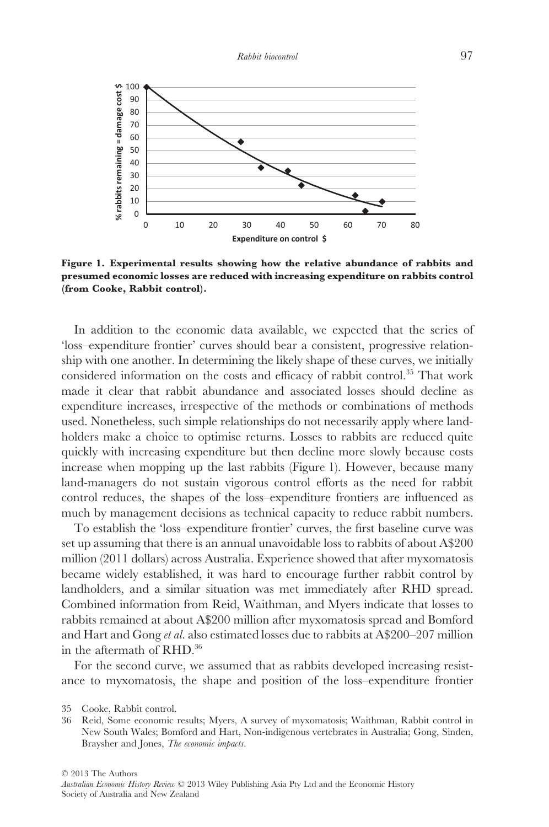

**Figure 1. Experimental results showing how the relative abundance of rabbits and presumed economic losses are reduced with increasing expenditure on rabbits control (from Cooke, Rabbit control).**

In addition to the economic data available, we expected that the series of 'loss–expenditure frontier' curves should bear a consistent, progressive relationship with one another. In determining the likely shape of these curves, we initially considered information on the costs and efficacy of rabbit control.<sup>35</sup> That work made it clear that rabbit abundance and associated losses should decline as expenditure increases, irrespective of the methods or combinations of methods used. Nonetheless, such simple relationships do not necessarily apply where landholders make a choice to optimise returns. Losses to rabbits are reduced quite quickly with increasing expenditure but then decline more slowly because costs increase when mopping up the last rabbits (Figure 1). However, because many land-managers do not sustain vigorous control efforts as the need for rabbit control reduces, the shapes of the loss–expenditure frontiers are influenced as much by management decisions as technical capacity to reduce rabbit numbers.

To establish the 'loss–expenditure frontier' curves, the first baseline curve was set up assuming that there is an annual unavoidable loss to rabbits of about A\$200 million (2011 dollars) across Australia. Experience showed that after myxomatosis became widely established, it was hard to encourage further rabbit control by landholders, and a similar situation was met immediately after RHD spread. Combined information from Reid, Waithman, and Myers indicate that losses to rabbits remained at about A\$200 million after myxomatosis spread and Bomford and Hart and Gong *et al*. also estimated losses due to rabbits at A\$200–207 million in the aftermath of RHD.36

For the second curve, we assumed that as rabbits developed increasing resistance to myxomatosis, the shape and position of the loss–expenditure frontier

<sup>35</sup> Cooke, Rabbit control.

<sup>36</sup> Reid, Some economic results; Myers, A survey of myxomatosis; Waithman, Rabbit control in New South Wales; Bomford and Hart, Non-indigenous vertebrates in Australia; Gong, Sinden, Braysher and Jones, *The economic impacts*.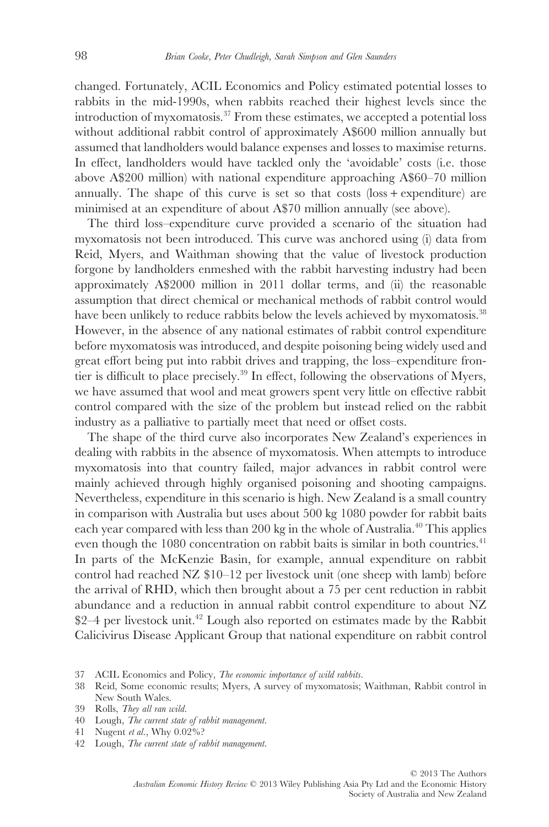changed. Fortunately, ACIL Economics and Policy estimated potential losses to rabbits in the mid-1990s, when rabbits reached their highest levels since the introduction of myxomatosis.37 From these estimates, we accepted a potential loss without additional rabbit control of approximately A\$600 million annually but assumed that landholders would balance expenses and losses to maximise returns. In effect, landholders would have tackled only the 'avoidable' costs (i.e. those above A\$200 million) with national expenditure approaching A\$60–70 million annually. The shape of this curve is set so that costs (loss + expenditure) are minimised at an expenditure of about A\$70 million annually (see above).

The third loss–expenditure curve provided a scenario of the situation had myxomatosis not been introduced. This curve was anchored using (i) data from Reid, Myers, and Waithman showing that the value of livestock production forgone by landholders enmeshed with the rabbit harvesting industry had been approximately A\$2000 million in 2011 dollar terms, and (ii) the reasonable assumption that direct chemical or mechanical methods of rabbit control would have been unlikely to reduce rabbits below the levels achieved by myxomatosis.<sup>38</sup> However, in the absence of any national estimates of rabbit control expenditure before myxomatosis was introduced, and despite poisoning being widely used and great effort being put into rabbit drives and trapping, the loss–expenditure frontier is difficult to place precisely.<sup>39</sup> In effect, following the observations of Myers, we have assumed that wool and meat growers spent very little on effective rabbit control compared with the size of the problem but instead relied on the rabbit industry as a palliative to partially meet that need or offset costs.

The shape of the third curve also incorporates New Zealand's experiences in dealing with rabbits in the absence of myxomatosis. When attempts to introduce myxomatosis into that country failed, major advances in rabbit control were mainly achieved through highly organised poisoning and shooting campaigns. Nevertheless, expenditure in this scenario is high. New Zealand is a small country in comparison with Australia but uses about 500 kg 1080 powder for rabbit baits each year compared with less than 200 kg in the whole of Australia.<sup>40</sup> This applies even though the 1080 concentration on rabbit baits is similar in both countries.<sup>41</sup> In parts of the McKenzie Basin, for example, annual expenditure on rabbit control had reached NZ \$10–12 per livestock unit (one sheep with lamb) before the arrival of RHD, which then brought about a 75 per cent reduction in rabbit abundance and a reduction in annual rabbit control expenditure to about NZ  $$2-4$  per livestock unit.<sup>42</sup> Lough also reported on estimates made by the Rabbit Calicivirus Disease Applicant Group that national expenditure on rabbit control

42 Lough, *The current state of rabbit management*.

<sup>37</sup> ACIL Economics and Policy, *The economic importance of wild rabbits*.

<sup>38</sup> Reid, Some economic results; Myers, A survey of myxomatosis; Waithman, Rabbit control in New South Wales.

<sup>39</sup> Rolls, *They all ran wild*.

<sup>40</sup> Lough, *The current state of rabbit management*.

<sup>41</sup> Nugent *et al*., Why 0.02%?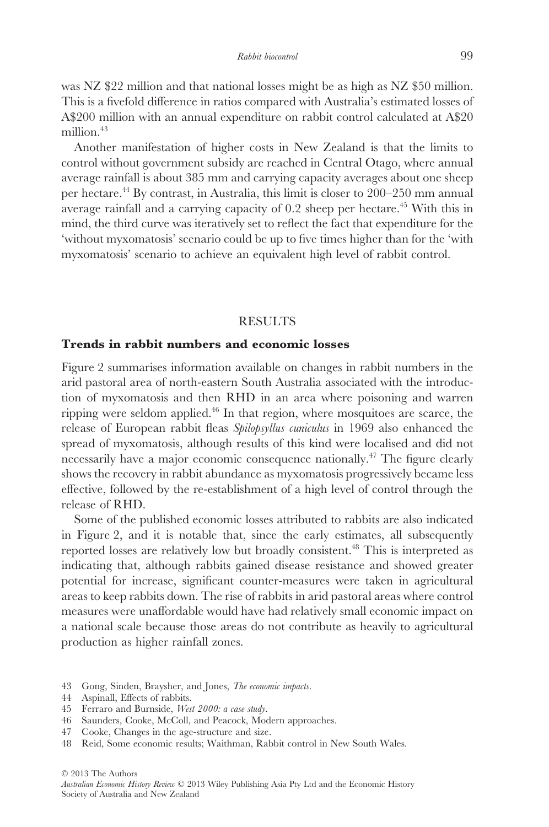was NZ \$22 million and that national losses might be as high as NZ \$50 million. This is a fivefold difference in ratios compared with Australia's estimated losses of A\$200 million with an annual expenditure on rabbit control calculated at A\$20 million $43$ 

Another manifestation of higher costs in New Zealand is that the limits to control without government subsidy are reached in Central Otago, where annual average rainfall is about 385 mm and carrying capacity averages about one sheep per hectare.44 By contrast, in Australia, this limit is closer to 200–250 mm annual average rainfall and a carrying capacity of  $0.2$  sheep per hectare.<sup>45</sup> With this in mind, the third curve was iteratively set to reflect the fact that expenditure for the 'without myxomatosis' scenario could be up to five times higher than for the 'with myxomatosis' scenario to achieve an equivalent high level of rabbit control.

### **RESULTS**

## **Trends in rabbit numbers and economic losses**

Figure 2 summarises information available on changes in rabbit numbers in the arid pastoral area of north-eastern South Australia associated with the introduction of myxomatosis and then RHD in an area where poisoning and warren ripping were seldom applied.<sup>46</sup> In that region, where mosquitoes are scarce, the release of European rabbit fleas *Spilopsyllus cuniculus* in 1969 also enhanced the spread of myxomatosis, although results of this kind were localised and did not necessarily have a major economic consequence nationally.47 The figure clearly shows the recovery in rabbit abundance as myxomatosis progressively became less effective, followed by the re-establishment of a high level of control through the release of RHD.

Some of the published economic losses attributed to rabbits are also indicated in Figure 2, and it is notable that, since the early estimates, all subsequently reported losses are relatively low but broadly consistent.<sup>48</sup> This is interpreted as indicating that, although rabbits gained disease resistance and showed greater potential for increase, significant counter-measures were taken in agricultural areas to keep rabbits down. The rise of rabbits in arid pastoral areas where control measures were unaffordable would have had relatively small economic impact on a national scale because those areas do not contribute as heavily to agricultural production as higher rainfall zones.

- 43 Gong, Sinden, Braysher, and Jones, *The economic impacts*.
- 44 Aspinall, Effects of rabbits.
- 45 Ferraro and Burnside, *West 2000: a case study*.
- 46 Saunders, Cooke, McColl, and Peacock, Modern approaches.
- 47 Cooke, Changes in the age-structure and size.
- 48 Reid, Some economic results; Waithman, Rabbit control in New South Wales.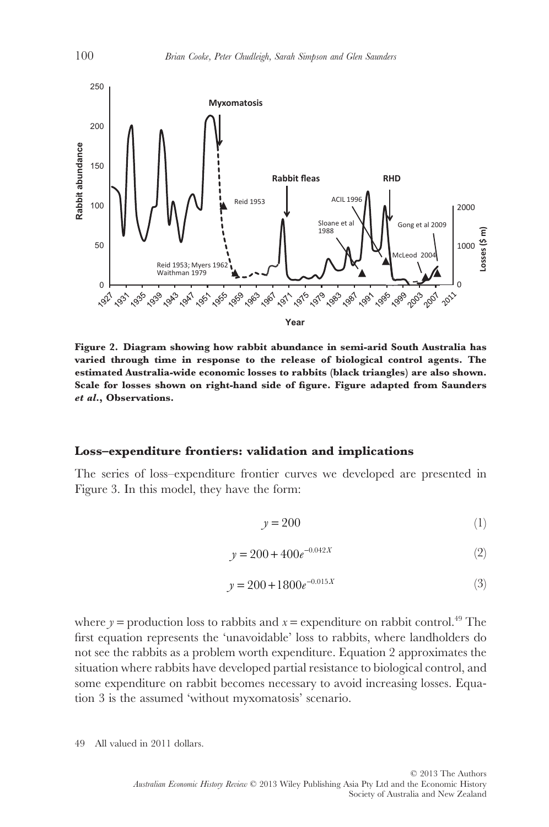

**Figure 2. Diagram showing how rabbit abundance in semi-arid South Australia has varied through time in response to the release of biological control agents. The estimated Australia-wide economic losses to rabbits (black triangles) are also shown. Scale for losses shown on right-hand side of figure. Figure adapted from Saunders** *et al***., Observations.**

#### **Loss–expenditure frontiers: validation and implications**

The series of loss–expenditure frontier curves we developed are presented in Figure 3. In this model, they have the form:

$$
y = 200\tag{1}
$$

$$
y = 200 + 400e^{-0.042X}
$$
 (2)

$$
y = 200 + 1800e^{-0.015X}
$$
 (3)

where  $y =$  production loss to rabbits and  $x =$  expenditure on rabbit control.<sup>49</sup> The first equation represents the 'unavoidable' loss to rabbits, where landholders do not see the rabbits as a problem worth expenditure. Equation 2 approximates the situation where rabbits have developed partial resistance to biological control, and some expenditure on rabbit becomes necessary to avoid increasing losses. Equation 3 is the assumed 'without myxomatosis' scenario.

49 All valued in 2011 dollars.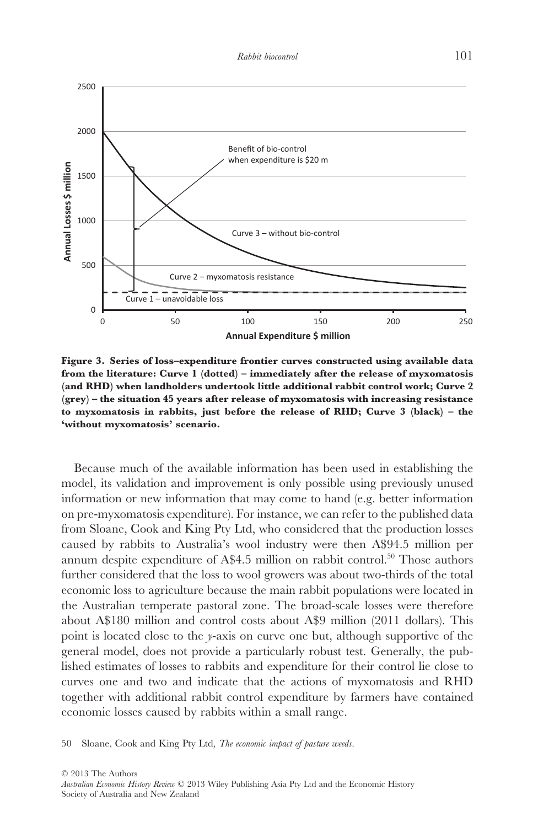

**Figure 3. Series of loss–expenditure frontier curves constructed using available data from the literature: Curve 1 (dotted) – immediately after the release of myxomatosis (and RHD) when landholders undertook little additional rabbit control work; Curve 2 (grey) – the situation 45 years after release of myxomatosis with increasing resistance to myxomatosis in rabbits, just before the release of RHD; Curve 3 (black) – the 'without myxomatosis' scenario.**

Because much of the available information has been used in establishing the model, its validation and improvement is only possible using previously unused information or new information that may come to hand (e.g. better information on pre-myxomatosis expenditure). For instance, we can refer to the published data from Sloane, Cook and King Pty Ltd, who considered that the production losses caused by rabbits to Australia's wool industry were then A\$94.5 million per annum despite expenditure of A\$4.5 million on rabbit control.<sup>50</sup> Those authors further considered that the loss to wool growers was about two-thirds of the total economic loss to agriculture because the main rabbit populations were located in the Australian temperate pastoral zone. The broad-scale losses were therefore about A\$180 million and control costs about A\$9 million (2011 dollars). This point is located close to the *y*-axis on curve one but, although supportive of the general model, does not provide a particularly robust test. Generally, the published estimates of losses to rabbits and expenditure for their control lie close to curves one and two and indicate that the actions of myxomatosis and RHD together with additional rabbit control expenditure by farmers have contained economic losses caused by rabbits within a small range.

50 Sloane, Cook and King Pty Ltd, *The economic impact of pasture weeds*.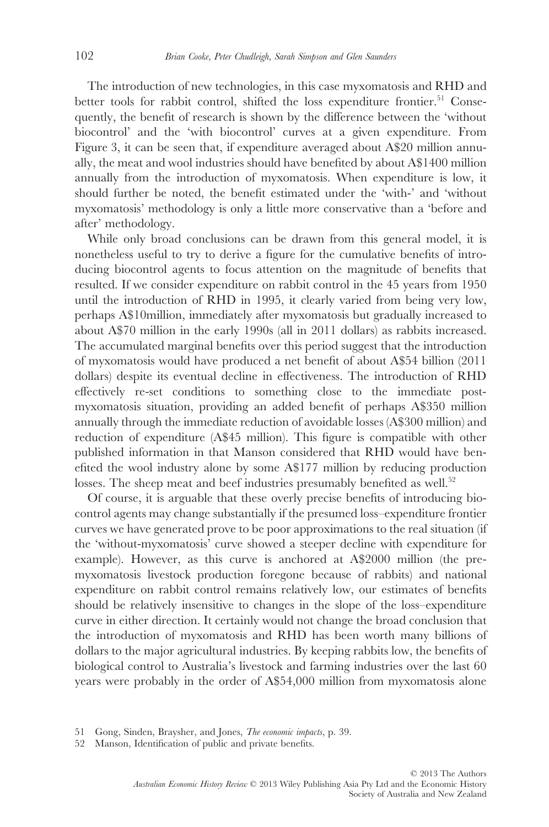The introduction of new technologies, in this case myxomatosis and RHD and better tools for rabbit control, shifted the loss expenditure frontier.<sup>51</sup> Consequently, the benefit of research is shown by the difference between the 'without biocontrol' and the 'with biocontrol' curves at a given expenditure. From Figure 3, it can be seen that, if expenditure averaged about A\$20 million annually, the meat and wool industries should have benefited by about A\$1400 million annually from the introduction of myxomatosis. When expenditure is low, it should further be noted, the benefit estimated under the 'with-' and 'without myxomatosis' methodology is only a little more conservative than a 'before and after' methodology.

While only broad conclusions can be drawn from this general model, it is nonetheless useful to try to derive a figure for the cumulative benefits of introducing biocontrol agents to focus attention on the magnitude of benefits that resulted. If we consider expenditure on rabbit control in the 45 years from 1950 until the introduction of RHD in 1995, it clearly varied from being very low, perhaps A\$10million, immediately after myxomatosis but gradually increased to about A\$70 million in the early 1990s (all in 2011 dollars) as rabbits increased. The accumulated marginal benefits over this period suggest that the introduction of myxomatosis would have produced a net benefit of about A\$54 billion (2011 dollars) despite its eventual decline in effectiveness. The introduction of RHD effectively re-set conditions to something close to the immediate postmyxomatosis situation, providing an added benefit of perhaps A\$350 million annually through the immediate reduction of avoidable losses (A\$300 million) and reduction of expenditure (A\$45 million). This figure is compatible with other published information in that Manson considered that RHD would have benefited the wool industry alone by some A\$177 million by reducing production losses. The sheep meat and beef industries presumably benefited as well.<sup>52</sup>

Of course, it is arguable that these overly precise benefits of introducing biocontrol agents may change substantially if the presumed loss–expenditure frontier curves we have generated prove to be poor approximations to the real situation (if the 'without-myxomatosis' curve showed a steeper decline with expenditure for example). However, as this curve is anchored at A\$2000 million (the premyxomatosis livestock production foregone because of rabbits) and national expenditure on rabbit control remains relatively low, our estimates of benefits should be relatively insensitive to changes in the slope of the loss–expenditure curve in either direction. It certainly would not change the broad conclusion that the introduction of myxomatosis and RHD has been worth many billions of dollars to the major agricultural industries. By keeping rabbits low, the benefits of biological control to Australia's livestock and farming industries over the last 60 years were probably in the order of A\$54,000 million from myxomatosis alone

52 Manson, Identification of public and private benefits.

<sup>51</sup> Gong, Sinden, Braysher, and Jones, *The economic impacts*, p. 39.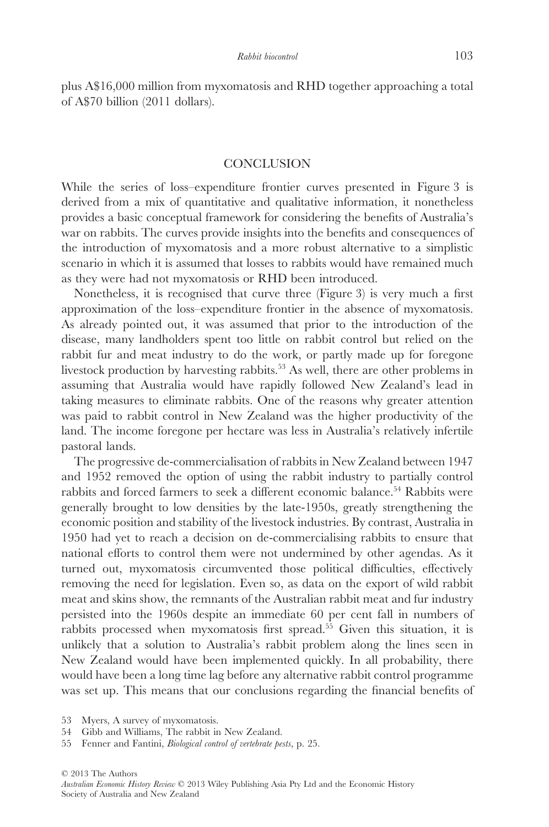plus A\$16,000 million from myxomatosis and RHD together approaching a total of A\$70 billion (2011 dollars).

### **CONCLUSION**

While the series of loss–expenditure frontier curves presented in Figure 3 is derived from a mix of quantitative and qualitative information, it nonetheless provides a basic conceptual framework for considering the benefits of Australia's war on rabbits. The curves provide insights into the benefits and consequences of the introduction of myxomatosis and a more robust alternative to a simplistic scenario in which it is assumed that losses to rabbits would have remained much as they were had not myxomatosis or RHD been introduced.

Nonetheless, it is recognised that curve three (Figure 3) is very much a first approximation of the loss–expenditure frontier in the absence of myxomatosis. As already pointed out, it was assumed that prior to the introduction of the disease, many landholders spent too little on rabbit control but relied on the rabbit fur and meat industry to do the work, or partly made up for foregone livestock production by harvesting rabbits.<sup>53</sup> As well, there are other problems in assuming that Australia would have rapidly followed New Zealand's lead in taking measures to eliminate rabbits. One of the reasons why greater attention was paid to rabbit control in New Zealand was the higher productivity of the land. The income foregone per hectare was less in Australia's relatively infertile pastoral lands.

The progressive de-commercialisation of rabbits in New Zealand between 1947 and 1952 removed the option of using the rabbit industry to partially control rabbits and forced farmers to seek a different economic balance.<sup>54</sup> Rabbits were generally brought to low densities by the late-1950s, greatly strengthening the economic position and stability of the livestock industries. By contrast, Australia in 1950 had yet to reach a decision on de-commercialising rabbits to ensure that national efforts to control them were not undermined by other agendas. As it turned out, myxomatosis circumvented those political difficulties, effectively removing the need for legislation. Even so, as data on the export of wild rabbit meat and skins show, the remnants of the Australian rabbit meat and fur industry persisted into the 1960s despite an immediate 60 per cent fall in numbers of rabbits processed when myxomatosis first spread.55 Given this situation, it is unlikely that a solution to Australia's rabbit problem along the lines seen in New Zealand would have been implemented quickly. In all probability, there would have been a long time lag before any alternative rabbit control programme was set up. This means that our conclusions regarding the financial benefits of

<sup>53</sup> Myers, A survey of myxomatosis.

<sup>54</sup> Gibb and Williams, The rabbit in New Zealand.

<sup>55</sup> Fenner and Fantini, *Biological control of vertebrate pests*, p. 25.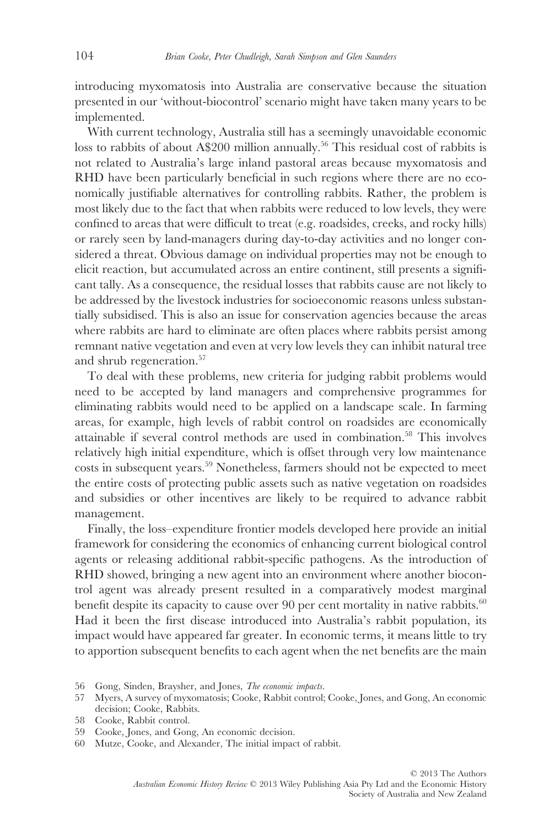introducing myxomatosis into Australia are conservative because the situation presented in our 'without-biocontrol' scenario might have taken many years to be implemented.

With current technology, Australia still has a seemingly unavoidable economic loss to rabbits of about A\$200 million annually.<sup>56</sup> This residual cost of rabbits is not related to Australia's large inland pastoral areas because myxomatosis and RHD have been particularly beneficial in such regions where there are no economically justifiable alternatives for controlling rabbits. Rather, the problem is most likely due to the fact that when rabbits were reduced to low levels, they were confined to areas that were difficult to treat (e.g. roadsides, creeks, and rocky hills) or rarely seen by land-managers during day-to-day activities and no longer considered a threat. Obvious damage on individual properties may not be enough to elicit reaction, but accumulated across an entire continent, still presents a significant tally. As a consequence, the residual losses that rabbits cause are not likely to be addressed by the livestock industries for socioeconomic reasons unless substantially subsidised. This is also an issue for conservation agencies because the areas where rabbits are hard to eliminate are often places where rabbits persist among remnant native vegetation and even at very low levels they can inhibit natural tree and shrub regeneration.<sup>57</sup>

To deal with these problems, new criteria for judging rabbit problems would need to be accepted by land managers and comprehensive programmes for eliminating rabbits would need to be applied on a landscape scale. In farming areas, for example, high levels of rabbit control on roadsides are economically attainable if several control methods are used in combination.<sup>58</sup> This involves relatively high initial expenditure, which is offset through very low maintenance costs in subsequent years.59 Nonetheless, farmers should not be expected to meet the entire costs of protecting public assets such as native vegetation on roadsides and subsidies or other incentives are likely to be required to advance rabbit management.

Finally, the loss–expenditure frontier models developed here provide an initial framework for considering the economics of enhancing current biological control agents or releasing additional rabbit-specific pathogens. As the introduction of RHD showed, bringing a new agent into an environment where another biocontrol agent was already present resulted in a comparatively modest marginal benefit despite its capacity to cause over 90 per cent mortality in native rabbits.<sup>60</sup> Had it been the first disease introduced into Australia's rabbit population, its impact would have appeared far greater. In economic terms, it means little to try to apportion subsequent benefits to each agent when the net benefits are the main

60 Mutze, Cooke, and Alexander, The initial impact of rabbit.

<sup>56</sup> Gong, Sinden, Braysher, and Jones, *The economic impacts*.

<sup>57</sup> Myers, A survey of myxomatosis; Cooke, Rabbit control; Cooke, Jones, and Gong, An economic decision; Cooke, Rabbits.

<sup>58</sup> Cooke, Rabbit control.

<sup>59</sup> Cooke, Jones, and Gong, An economic decision.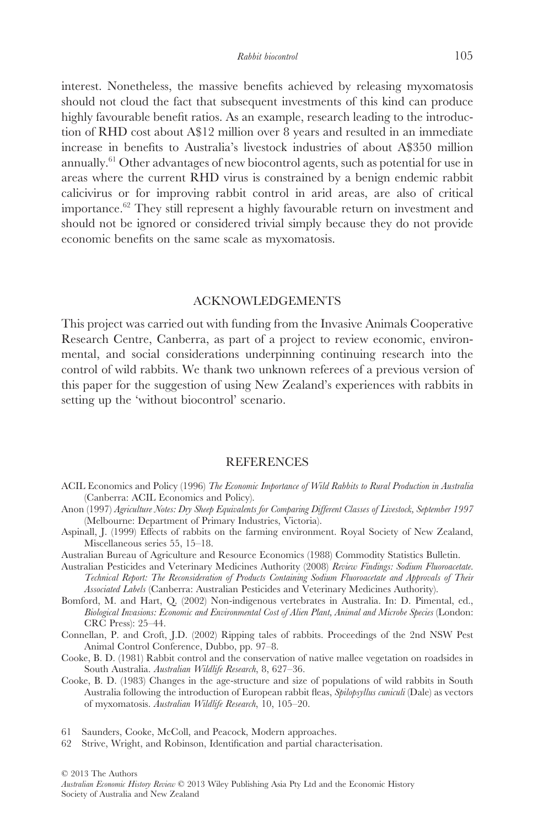interest. Nonetheless, the massive benefits achieved by releasing myxomatosis should not cloud the fact that subsequent investments of this kind can produce highly favourable benefit ratios. As an example, research leading to the introduction of RHD cost about A\$12 million over 8 years and resulted in an immediate increase in benefits to Australia's livestock industries of about A\$350 million annually.61 Other advantages of new biocontrol agents, such as potential for use in areas where the current RHD virus is constrained by a benign endemic rabbit calicivirus or for improving rabbit control in arid areas, are also of critical importance. $62$  They still represent a highly favourable return on investment and should not be ignored or considered trivial simply because they do not provide economic benefits on the same scale as myxomatosis.

#### ACKNOWLEDGEMENTS

This project was carried out with funding from the Invasive Animals Cooperative Research Centre, Canberra, as part of a project to review economic, environmental, and social considerations underpinning continuing research into the control of wild rabbits. We thank two unknown referees of a previous version of this paper for the suggestion of using New Zealand's experiences with rabbits in setting up the 'without biocontrol' scenario.

### **REFERENCES**

- ACIL Economics and Policy (1996) *The Economic Importance of Wild Rabbits to Rural Production in Australia* (Canberra: ACIL Economics and Policy).
- Anon (1997) *Agriculture Notes: Dry Sheep Equivalents for Comparing Different Classes of Livestock, September 1997* (Melbourne: Department of Primary Industries, Victoria).
- Aspinall, J. (1999) Effects of rabbits on the farming environment. Royal Society of New Zealand, Miscellaneous series 55, 15–18.
- Australian Bureau of Agriculture and Resource Economics (1988) Commodity Statistics Bulletin.
- Australian Pesticides and Veterinary Medicines Authority (2008) *Review Findings: Sodium Fluoroacetate. Technical Report: The Reconsideration of Products Containing Sodium Fluoroacetate and Approvals of Their Associated Labels* (Canberra: Australian Pesticides and Veterinary Medicines Authority).
- Bomford, M. and Hart, Q. (2002) Non-indigenous vertebrates in Australia. In: D. Pimental, ed., *Biological Invasions: Economic and Environmental Cost of Alien Plant, Animal and Microbe Species* (London: CRC Press): 25–44.
- Connellan, P. and Croft, J.D. (2002) Ripping tales of rabbits. Proceedings of the 2nd NSW Pest Animal Control Conference, Dubbo, pp. 97–8.
- Cooke, B. D. (1981) Rabbit control and the conservation of native mallee vegetation on roadsides in South Australia. *Australian Wildlife Research*, 8, 627–36.
- Cooke, B. D. (1983) Changes in the age-structure and size of populations of wild rabbits in South Australia following the introduction of European rabbit fleas, *Spilopsyllus cuniculi* (Dale) as vectors of myxomatosis. *Australian Wildlife Research*, 10, 105–20.
- 61 Saunders, Cooke, McColl, and Peacock, Modern approaches.
- 62 Strive, Wright, and Robinson, Identification and partial characterisation.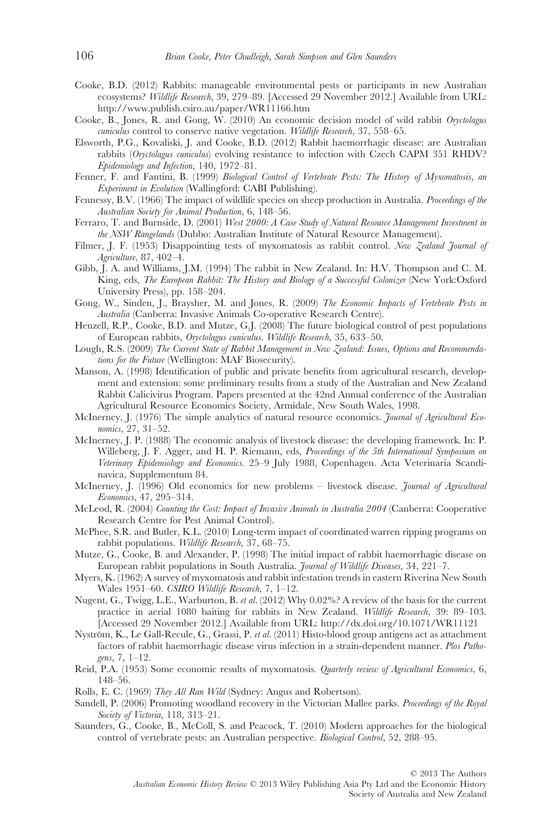- Cooke, B.D. (2012) Rabbits: manageable environmental pests or participants in new Australian ecosystems? *Wildlife Research*, 39, 279–89. [Accessed 29 November 2012.] Available from URL: http://www.publish.csiro.au/paper/WR11166.htm
- Cooke, B., Jones, R. and Gong, W. (2010) An economic decision model of wild rabbit *Oryctolagus cuniculus* control to conserve native vegetation. *Wildlife Research*, 37, 558–65.
- Elsworth, P.G., Kovaliski, J. and Cooke, B.D. (2012) Rabbit haemorrhagic disease: are Australian rabbits (*Oryctolagus cuniculus*) evolving resistance to infection with Czech CAPM 351 RHDV? *Epidemiology and Infection*, 140, 1972–81.
- Fenner, F. and Fantini, B. (1999) *Biological Control of Vertebrate Pests: The History of Myxomatosis, an Experiment in Evolution* (Wallingford: CABI Publishing).
- Fennessy, B.V. (1966) The impact of wildlife species on sheep production in Australia. *Proceedings of the Australian Society for Animal Production*, 6, 148–56.
- Ferraro, T. and Burnside, D. (2001) *West 2000: A Case Study of Natural Resource Management Investment in the NSW Rangelands* (Dubbo: Australian Institute of Natural Resource Management).
- Filmer, J. F. (1953) Disappointing tests of myxomatosis as rabbit control. *New Zealand Journal of Agriculture*, 87, 402–4.
- Gibb, J. A. and Williams, J.M. (1994) The rabbit in New Zealand. In: H.V. Thompson and C. M. King, eds, *The European Rabbit: The History and Biology of a Successful Colonizer* (New York:Oxford University Press), pp. 158–204.
- Gong, W., Sinden, J., Braysher, M. and Jones, R. (2009) *The Economic Impacts of Vertebrate Pests in Australia* (Canberra: Invasive Animals Co-operative Research Centre).
- Henzell, R.P., Cooke, B.D. and Mutze, G.J. (2008) The future biological control of pest populations of European rabbits, *Oryctolagus cuniculus*. *Wildlife Research*, 35, 633–50.
- Lough, R.S. (2009) *The Current State of Rabbit Management in New Zealand: Issues, Options and Recommendations for the Future* (Wellington: MAF Biosecurity).
- Manson, A. (1998) Identification of public and private benefits from agricultural research, development and extension: some preliminary results from a study of the Australian and New Zealand Rabbit Calicivirus Program. Papers presented at the 42nd Annual conference of the Australian Agricultural Resource Economics Society, Armidale, New South Wales, 1998.
- McInerney, J. (1976) The simple analytics of natural resource economics. *Journal of Agricultural Economics*, 27, 31–52.
- McInerney, J. P. (1988) The economic analysis of livestock disease: the developing framework. In: P. Willeberg, J. F. Agger, and H. P. Riemann, eds, *Proceedings of the 5th International Symposium on Veterinary Epidemiology and Economics*. 25–9 July 1988, Copenhagen. Acta Veterinaria Scandinavica, Supplementum 84.
- McInerney, J. (1996) Old economics for new problems livestock disease. *Journal of Agricultural Economics*, 47, 295–314.
- McLeod, R. (2004) *Counting the Cost: Impact of Invasive Animals in Australia 2004* (Canberra: Cooperative Research Centre for Pest Animal Control).
- McPhee, S.R. and Butler, K.L. (2010) Long-term impact of coordinated warren ripping programs on rabbit populations. *Wildlife Research*, 37, 68–75.
- Mutze, G., Cooke, B. and Alexander, P. (1998) The initial impact of rabbit haemorrhagic disease on European rabbit populations in South Australia. *Journal of Wildlife Diseases*, 34, 221–7.
- Myers, K. (1962) A survey of myxomatosis and rabbit infestation trends in eastern Riverina New South Wales 1951–60. *CSIRO Wildlife Research*, 7, 1–12.
- Nugent, G., Twigg, L.E., Warburton, B. *et al*. (2012) Why 0.02%? A review of the basis for the current practice in aerial 1080 baiting for rabbits in New Zealand. *Wildlife Research*, 39: 89–103. [Accessed 29 November 2012.] Available from URL: http://dx.doi.org/10.1071/WR11121
- Nyström, K., Le Gall-Recule, G., Grassi, P. *et al*. (2011) Histo-blood group antigens act as attachment factors of rabbit haemorrhagic disease virus infection in a strain-dependent manner. *Plos Pathogens*, 7, 1–12.
- Reid, P.A. (1953) Some economic results of myxomatosis. *Quarterly review of Agricultural Economics*, 6, 148–56.
- Rolls, E. C. (1969) *They All Ran Wild* (Sydney: Angus and Robertson).
- Sandell, P. (2006) Promoting woodland recovery in the Victorian Mallee parks. *Proceedings of the Royal Society of Victoria*, 118, 313–21.
- Saunders, G., Cooke, B., McColl, S. and Peacock, T. (2010) Modern approaches for the biological control of vertebrate pests: an Australian perspective. *Biological Control*, 52, 288–95.